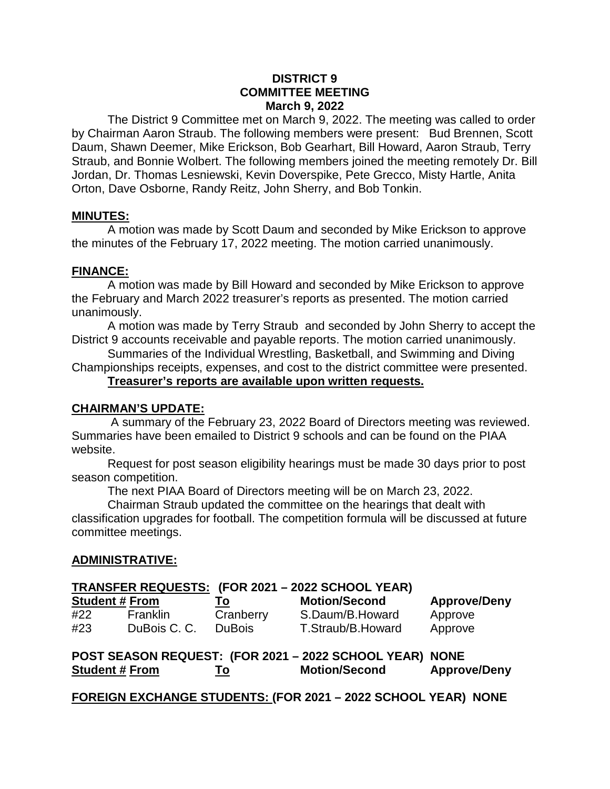#### **DISTRICT 9 COMMITTEE MEETING March 9, 2022**

The District 9 Committee met on March 9, 2022. The meeting was called to order by Chairman Aaron Straub. The following members were present: Bud Brennen, Scott Daum, Shawn Deemer, Mike Erickson, Bob Gearhart, Bill Howard, Aaron Straub, Terry Straub, and Bonnie Wolbert. The following members joined the meeting remotely Dr. Bill Jordan, Dr. Thomas Lesniewski, Kevin Doverspike, Pete Grecco, Misty Hartle, Anita Orton, Dave Osborne, Randy Reitz, John Sherry, and Bob Tonkin.

#### **MINUTES:**

A motion was made by Scott Daum and seconded by Mike Erickson to approve the minutes of the February 17, 2022 meeting. The motion carried unanimously.

## **FINANCE:**

A motion was made by Bill Howard and seconded by Mike Erickson to approve the February and March 2022 treasurer's reports as presented. The motion carried unanimously.

A motion was made by Terry Straub and seconded by John Sherry to accept the District 9 accounts receivable and payable reports. The motion carried unanimously.

Summaries of the Individual Wrestling, Basketball, and Swimming and Diving Championships receipts, expenses, and cost to the district committee were presented.

#### **Treasurer's reports are available upon written requests.**

#### **CHAIRMAN'S UPDATE:**

A summary of the February 23, 2022 Board of Directors meeting was reviewed. Summaries have been emailed to District 9 schools and can be found on the PIAA website.

Request for post season eligibility hearings must be made 30 days prior to post season competition.

The next PIAA Board of Directors meeting will be on March 23, 2022.

Chairman Straub updated the committee on the hearings that dealt with classification upgrades for football. The competition formula will be discussed at future committee meetings.

## **ADMINISTRATIVE:**

## **TRANSFER REQUESTS: (FOR 2021 – 2022 SCHOOL YEAR)**

| <b>Student # From</b> |                 | To        | <b>Motion/Second</b> | <b>Approve/Deny</b> |
|-----------------------|-----------------|-----------|----------------------|---------------------|
| #22                   | <b>Franklin</b> | Cranberry | S.Daum/B.Howard      | Approve             |
| #23                   | DuBois C. C.    | DuBois    | T.Straub/B.Howard    | Approve             |

|                       |     | POST SEASON REQUEST: (FOR 2021 - 2022 SCHOOL YEAR) NONE |                     |
|-----------------------|-----|---------------------------------------------------------|---------------------|
| <b>Student # From</b> | 10. | <b>Motion/Second</b>                                    | <b>Approve/Deny</b> |

**FOREIGN EXCHANGE STUDENTS: (FOR 2021 – 2022 SCHOOL YEAR) NONE**